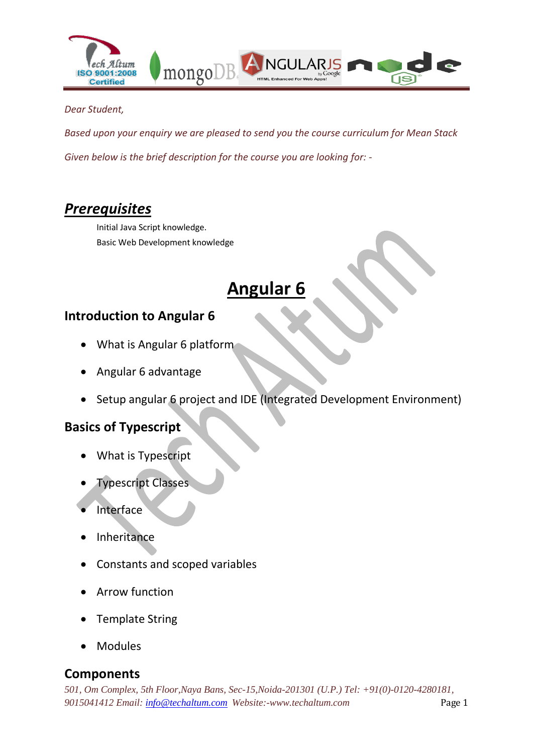

#### *Dear Student,*

*Based upon your enquiry we are pleased to send you the course curriculum for Mean Stack Given below is the brief description for the course you are looking for: -*

# *Prerequisites*

Initial Java Script knowledge. Basic Web Development knowledge

# **Angular 6**

#### **Introduction to Angular 6**

- What is Angular 6 platform
- Angular 6 advantage
- Setup angular 6 project and IDE (Integrated Development Environment)

#### **Basics of Typescript**

- What is Typescript
- **Typescript Classes**
- Interface
- Inheritance
- Constants and scoped variables
- Arrow function
- Template String
- Modules

#### **Components**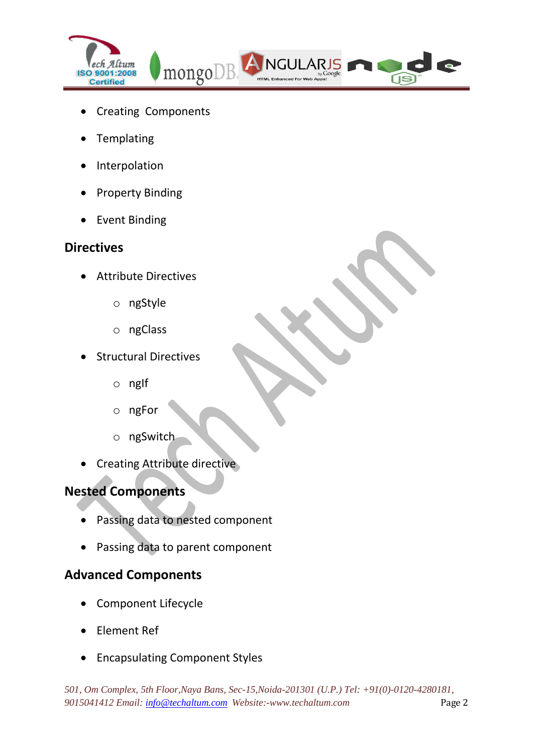

- Creating Components
- Templating
- Interpolation
- Property Binding
- Event Binding

#### **Directives**

- Attribute Directives
	- o ngStyle
	- o ngClass
- Structural Directives
	- $o$  nglf
	- o ngFor
	- o ngSwitch
- Creating Attribute directive

## **Nested Components**

- Passing data to nested component
- Passing data to parent component

## **Advanced Components**

- Component Lifecycle
- Element Ref
- Encapsulating Component Styles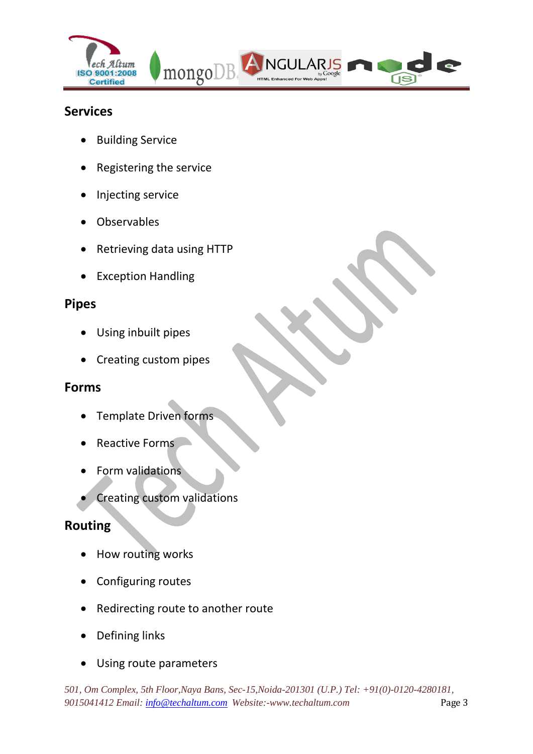

#### **Services**

- **•** Building Service
- Registering the service
- Injecting service
- Observables
- Retrieving data using HTTP
- Exception Handling

#### **Pipes**

- Using inbuilt pipes
- Creating custom pipes

#### **Forms**

- Template Driven forms
- Reactive Forms
- Form validations
- Creating custom validations

#### **Routing**

- How routing works
- Configuring routes
- Redirecting route to another route
- Defining links
- Using route parameters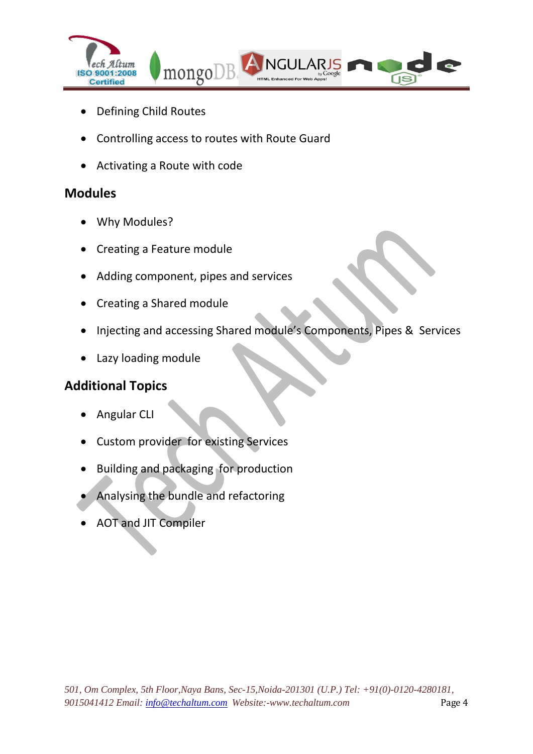

- Defining Child Routes
- Controlling access to routes with Route Guard
- Activating a Route with code

## **Modules**

- Why Modules?
- Creating a Feature module
- Adding component, pipes and services
- Creating a Shared module
- Injecting and accessing Shared module's Components, Pipes & Services
- Lazy loading module

## **Additional Topics**

- Angular CLI
- Custom provider for existing Services
- Building and packaging for production
- Analysing the bundle and refactoring
- AOT and JIT Compiler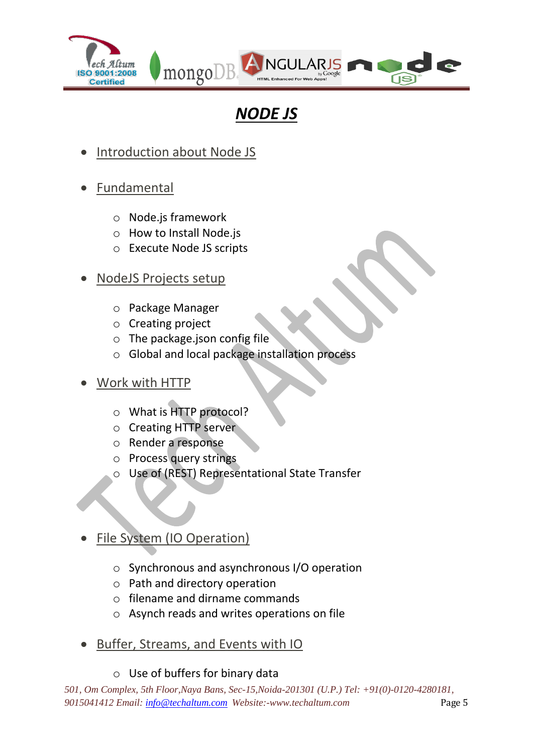

# *NODE JS*

- Introduction about Node JS
- Fundamental
	- o Node.js framework
	- o How to Install Node.js
	- o Execute Node JS scripts
- NodeJS Projects setup
	- o Package Manager
	- o Creating project
	- o The package.json config file
	- o Global and local package installation process
- Work with HTTP
	- o What is HTTP protocol?
	- o Creating HTTP server
	- o Render a response
	- o Process query strings
	- o Use of (REST) Representational State Transfer

# File System (IO Operation)

- o Synchronous and asynchronous I/O operation
- o Path and directory operation
- o filename and dirname commands
- o Asynch reads and writes operations on file
- Buffer, Streams, and Events with IO

#### o Use of buffers for binary data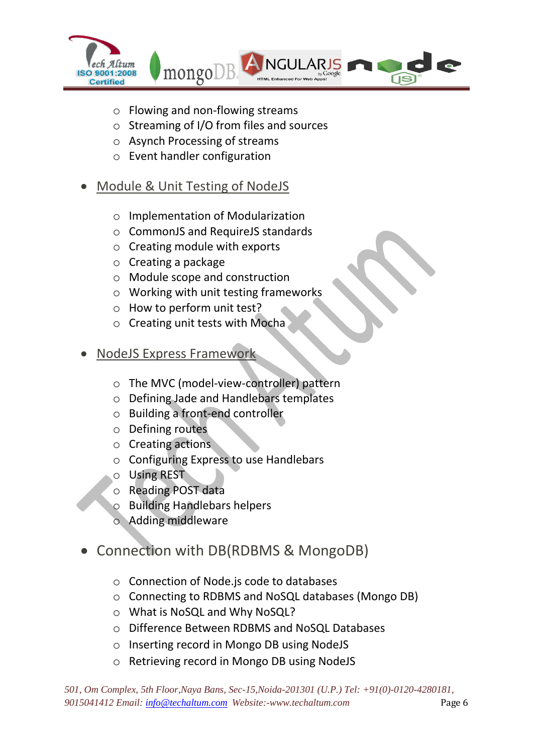

- o Flowing and non-flowing streams
- o Streaming of I/O from files and sources
- o Asynch Processing of streams
- o Event handler configuration

## Module & Unit Testing of NodeJS

- o Implementation of Modularization
- o CommonJS and RequireJS standards
- o Creating module with exports
- o Creating a package
- o Module scope and construction
- o Working with unit testing frameworks
- o How to perform unit test?
- o Creating unit tests with Mocha
- NodeJS Express Framework
	- o The MVC (model-view-controller) pattern
	- o Defining Jade and Handlebars templates
	- o Building a front-end controller
	- o Defining routes
	- o Creating actions
	- o Configuring Express to use Handlebars
	- o Using REST
	- o Reading POST data
	- o Building Handlebars helpers
	- o Adding middleware

# Connection with DB(RDBMS & MongoDB)

- o Connection of Node.js code to databases
- o Connecting to RDBMS and NoSQL databases (Mongo DB)
- o What is NoSQL and Why NoSQL?
- o Difference Between RDBMS and NoSQL Databases
- o Inserting record in Mongo DB using NodeJS
- o Retrieving record in Mongo DB using NodeJS